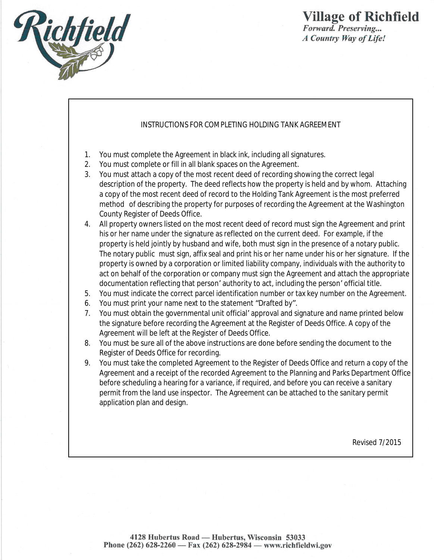

## *Forward. Preserving... A Country Way of Life!*

## INSTRUCTIONS FOR COMPLETING HOLDING TANK AGREEMENT

- 1. You must complete the Agreement in black ink, including all signatures.
- 2. You must complete or fill in all blank spaces on the Agreement.
- 3. You must attach a copy of the most recent deed of recording showing the correct legal description of the property. The deed reflects how the property is held and by whom. Attaching a copy of the most recent deed of record to the Holding Tank Agreement is the most preferred method of describing the property for purposes of recording the Agreement at the Washington County Register of Deeds Office.
- 4. All property owners listed on the most recent deed of record must sign the Agreement and print his or her name under the signature as reflected on the current deed. For example, if the property is held jointly by husband and wife, both must sign in the presence of a notary public. The notary public must sign, affix seal and print his or her name under his or her signature. If the property is owned by a corporation or limited liability company, individuals with the authority to act on behalf of the corporation or company must sign the Agreement and attach the appropriate documentation reflecting that person' authority to act, including the person' official title.
- 5. You must indicate the correct parcel identification number or tax key number on the Agreement.
- 6. You must print your name next to the statement "Drafted by".
- 7. You must obtain the governmental unit official' approval and signature and name printed below the signature before recording the Agreement at the Register of Deeds Office. A copy of the Agreement will be left at the Register of Deeds Office.
- 8. You must be sure all of the above instructions are done before sending the document to the Register of Deeds Office for recording.
- 9. You must take the completed Agreement to the Register of Deeds Office and return a copy of the Agreement and a receipt of the recorded Agreement to the Planning and Parks Department Office before scheduling a hearing for a variance, if required, and before you can receive a sanitary permit from the land use inspector. The Agreement can be attached to the sanitary permit application plan and design.

Revised 7/2015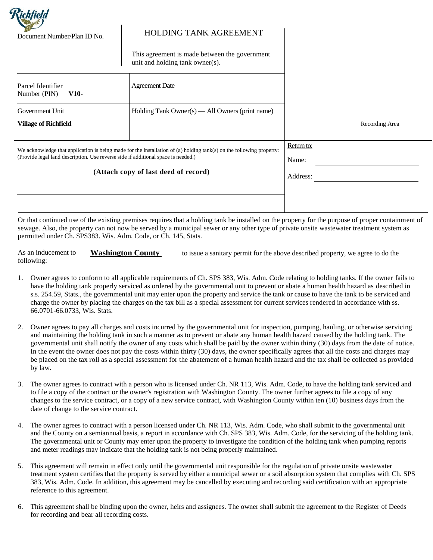

## Document Number/Plan ID No. HOLDING TANK AGREEMENT

This agreement is made between the government unit and holding tank owner(s).

| Parcel Identifier<br>$V10-$<br>Number (PIN)                                                                                        | <b>Agreement Date</b>                           |          |                |
|------------------------------------------------------------------------------------------------------------------------------------|-------------------------------------------------|----------|----------------|
| Government Unit                                                                                                                    | Holding Tank Owner(s) — All Owners (print name) |          |                |
| <b>Village of Richfield</b>                                                                                                        |                                                 |          | Recording Area |
|                                                                                                                                    |                                                 |          |                |
| Return to:<br>We acknowledge that application is being made for the installation of (a) holding tank(s) on the following property: |                                                 |          |                |
| (Provide legal land description. Use reverse side if additional space is needed.)                                                  |                                                 | Name:    |                |
| (Attach copy of last deed of record)                                                                                               |                                                 | Address: |                |
|                                                                                                                                    |                                                 |          |                |
|                                                                                                                                    |                                                 |          |                |
|                                                                                                                                    |                                                 |          |                |

Or that continued use of the existing premises requires that a holding tank be installed on the property for the purpose of proper containment of sewage. Also, the property can not now be served by a municipal sewer or any other type of private onsite wastewater treatment system as permitted under Ch. SPS383. Wis. Adm. Code, or Ch. 145, Stats.

As an inducement to following: **Washington County** to issue a sanitary permit for the above described property, we agree to do the

- 1. Owner agrees to conform to all applicable requirements of Ch. SPS 383, Wis. Adm. Code relating to holding tanks. If the owner fails to have the holding tank properly serviced as ordered by the governmental unit to prevent or abate a human health hazard as described in s.s. 254.59, Stats., the governmental unit may enter upon the property and service the tank or cause to have the tank to be serviced and charge the owner by placing the charges on the tax bill as a special assessment for current services rendered in accordance with ss. 66.0701-66.0733, Wis. Stats.
- 2. Owner agrees to pay all charges and costs incurred by the governmental unit for inspection, pumping, hauling, or otherwise servicing and maintaining the holding tank in such a manner as to prevent or abate any human health hazard caused by the holding tank. The governmental unit shall notify the owner of any costs which shall be paid by the owner within thirty (30) days from the date of notice. In the event the owner does not pay the costs within thirty (30) days, the owner specifically agrees that all the costs and charges may be placed on the tax roll as a special assessment for the abatement of a human health hazard and the tax shall be collected as provided by law.
- 3. The owner agrees to contract with a person who is licensed under Ch. NR 113, Wis. Adm. Code, to have the holding tank serviced and to file a copy of the contract or the owner's registration with Washington County. The owner further agrees to file a copy of any changes to the service contract, or a copy of a new service contract, with Washington County within ten (10) business days from the date of change to the service contract.
- 4. The owner agrees to contract with a person licensed under Ch. NR 113, Wis. Adm. Code, who shall submit to the governmental unit and the County on a semiannual basis, a report in accordance with Ch. SPS 383, Wis. Adm. Code, for the servicing of the holding tank. The governmental unit or County may enter upon the property to investigate the condition of the holding tank when pumping reports and meter readings may indicate that the holding tank is not being properly maintained.
- 5. This agreement will remain in effect only until the governmental unit responsible for the regulation of private onsite wastewater treatment system certifies that the property is served by either a municipal sewer or a soil absorption system that complies with Ch. SPS 383, Wis. Adm. Code. In addition, this agreement may be cancelled by executing and recording said certification with an appropriate reference to this agreement.
- 6. This agreement shall be binding upon the owner, heirs and assignees. The owner shall submit the agreement to the Register of Deeds for recording and bear all recording costs.